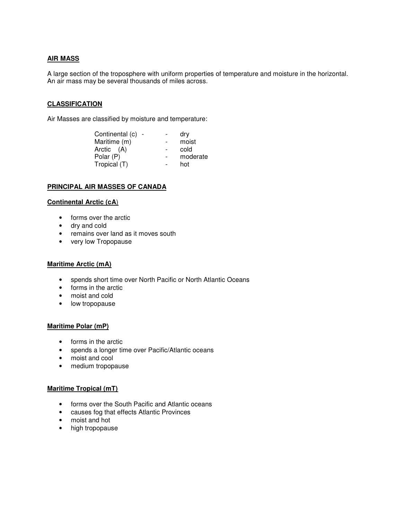# **AIR MASS**

A large section of the troposphere with uniform properties of temperature and moisture in the horizontal. An air mass may be several thousands of miles across.

### **CLASSIFICATION**

Air Masses are classified by moisture and temperature:

|                   | dry      |
|-------------------|----------|
|                   | moist    |
|                   | cold     |
|                   | moderate |
|                   | hot      |
| Continental (c) - |          |

#### **PRINCIPAL AIR MASSES OF CANADA**

### **Continental Arctic (cA**)

- forms over the arctic
- dry and cold
- remains over land as it moves south
- very low Tropopause

#### **Maritime Arctic (mA)**

- spends short time over North Pacific or North Atlantic Oceans
- forms in the arctic
- moist and cold
- low tropopause

#### **Maritime Polar (mP)**

- forms in the arctic
- spends a longer time over Pacific/Atlantic oceans
- moist and cool
- medium tropopause

### **Maritime Tropical (mT)**

- forms over the South Pacific and Atlantic oceans
- causes fog that effects Atlantic Provinces
- moist and hot
- high tropopause